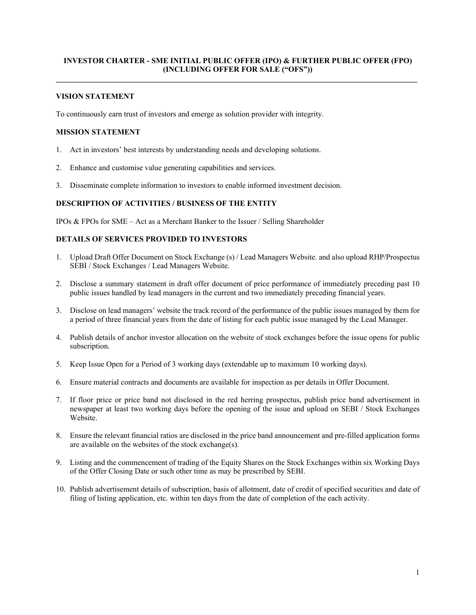## **INVESTOR CHARTER - SME INITIAL PUBLIC OFFER (IPO) & FURTHER PUBLIC OFFER (FPO) (INCLUDING OFFER FOR SALE ("OFS")) \_\_\_\_\_\_\_\_\_\_\_\_\_\_\_\_\_\_\_\_\_\_\_\_\_\_\_\_\_\_\_\_\_\_\_\_\_\_\_\_\_\_\_\_\_\_\_\_\_\_\_\_\_\_\_\_\_\_\_\_\_\_\_\_\_\_\_\_\_\_\_\_\_\_\_\_\_\_\_\_\_\_\_\_\_\_\_\_\_\_\_\_\_**

### **VISION STATEMENT**

To continuously earn trust of investors and emerge as solution provider with integrity.

### **MISSION STATEMENT**

- 1. Act in investors' best interests by understanding needs and developing solutions.
- 2. Enhance and customise value generating capabilities and services.
- 3. Disseminate complete information to investors to enable informed investment decision.

#### **DESCRIPTION OF ACTIVITIES / BUSINESS OF THE ENTITY**

IPOs & FPOs for SME – Act as a Merchant Banker to the Issuer / Selling Shareholder

# **DETAILS OF SERVICES PROVIDED TO INVESTORS**

- 1. Upload Draft Offer Document on Stock Exchange (s) / Lead Managers Website. and also upload RHP/Prospectus SEBI / Stock Exchanges / Lead Managers Website.
- 2. Disclose a summary statement in draft offer document of price performance of immediately preceding past 10 public issues handled by lead managers in the current and two immediately preceding financial years.
- 3. Disclose on lead managers' website the track record of the performance of the public issues managed by them for a period of three financial years from the date of listing for each public issue managed by the Lead Manager.
- 4. Publish details of anchor investor allocation on the website of stock exchanges before the issue opens for public subscription.
- 5. Keep Issue Open for a Period of 3 working days (extendable up to maximum 10 working days).
- 6. Ensure material contracts and documents are available for inspection as per details in Offer Document.
- 7. If floor price or price band not disclosed in the red herring prospectus, publish price band advertisement in newspaper at least two working days before the opening of the issue and upload on SEBI / Stock Exchanges Website.
- 8. Ensure the relevant financial ratios are disclosed in the price band announcement and pre-filled application forms are available on the websites of the stock exchange(s).
- 9. Listing and the commencement of trading of the Equity Shares on the Stock Exchanges within six Working Days of the Offer Closing Date or such other time as may be prescribed by SEBI.
- 10. Publish advertisement details of subscription, basis of allotment, date of credit of specified securities and date of filing of listing application, etc. within ten days from the date of completion of the each activity.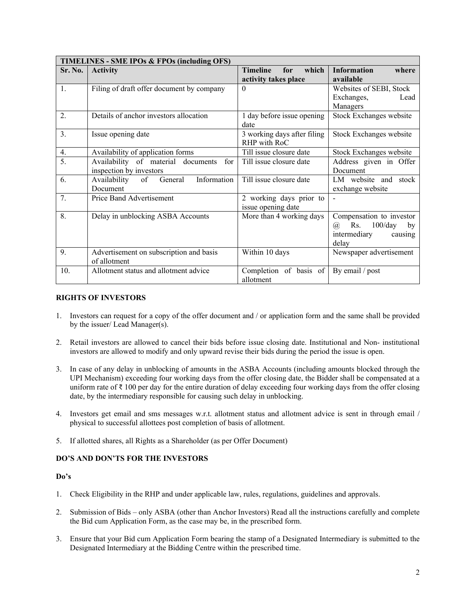| TIMELINES - SME IPOs & FPOs (including OFS) |                                              |                                 |                               |  |
|---------------------------------------------|----------------------------------------------|---------------------------------|-------------------------------|--|
| Sr. No.                                     | <b>Activity</b>                              | which<br><b>Timeline</b><br>for | <b>Information</b><br>where   |  |
|                                             |                                              | activity takes place            | available                     |  |
| $\mathbf{1}$ .                              | Filing of draft offer document by company    | $\Omega$                        | Websites of SEBI, Stock       |  |
|                                             |                                              |                                 | Exchanges,<br>Lead            |  |
|                                             |                                              |                                 | Managers                      |  |
| $\overline{2}$ .                            | Details of anchor investors allocation       | 1 day before issue opening      | Stock Exchanges website       |  |
|                                             |                                              | date                            |                               |  |
| $\overline{3}$ .                            | Issue opening date                           | 3 working days after filing     | Stock Exchanges website       |  |
|                                             |                                              | RHP with RoC                    |                               |  |
| 4.                                          | Availability of application forms            | Till issue closure date         | Stock Exchanges website       |  |
| $\overline{5}$ .                            | Availability of material<br>documents<br>for | Till issue closure date         | Address given in Offer        |  |
|                                             | inspection by investors                      |                                 | Document                      |  |
| 6.                                          | Information<br>Availability<br>General<br>of | Till issue closure date         | LM website and stock          |  |
|                                             | Document                                     |                                 | exchange website              |  |
| 7.                                          | Price Band Advertisement                     | 2 working days prior to         |                               |  |
|                                             |                                              | issue opening date              |                               |  |
| 8.                                          | Delay in unblocking ASBA Accounts            | More than 4 working days        | Compensation to investor      |  |
|                                             |                                              |                                 | Rs.<br>$100$ /day<br>@,<br>by |  |
|                                             |                                              |                                 | intermediary<br>causing       |  |
|                                             |                                              |                                 | delay                         |  |
| 9.                                          | Advertisement on subscription and basis      | Within 10 days                  | Newspaper advertisement       |  |
|                                             | of allotment                                 |                                 |                               |  |
| 10.                                         | Allotment status and allotment advice        | Completion of basis of          | By email / post               |  |
|                                             |                                              | allotment                       |                               |  |

## **RIGHTS OF INVESTORS**

- 1. Investors can request for a copy of the offer document and / or application form and the same shall be provided by the issuer/ Lead Manager(s).
- 2. Retail investors are allowed to cancel their bids before issue closing date. Institutional and Non- institutional investors are allowed to modify and only upward revise their bids during the period the issue is open.
- 3. In case of any delay in unblocking of amounts in the ASBA Accounts (including amounts blocked through the UPI Mechanism) exceeding four working days from the offer closing date, the Bidder shall be compensated at a uniform rate of ₹ 100 per day for the entire duration of delay exceeding four working days from the offer closing date, by the intermediary responsible for causing such delay in unblocking.
- 4. Investors get email and sms messages w.r.t. allotment status and allotment advice is sent in through email / physical to successful allottees post completion of basis of allotment.
- 5. If allotted shares, all Rights as a Shareholder (as per Offer Document)

# **DO'S AND DON'TS FOR THE INVESTORS**

#### **Do's**

- 1. Check Eligibility in the RHP and under applicable law, rules, regulations, guidelines and approvals.
- 2. Submission of Bids only ASBA (other than Anchor Investors) Read all the instructions carefully and complete the Bid cum Application Form, as the case may be, in the prescribed form.
- 3. Ensure that your Bid cum Application Form bearing the stamp of a Designated Intermediary is submitted to the Designated Intermediary at the Bidding Centre within the prescribed time.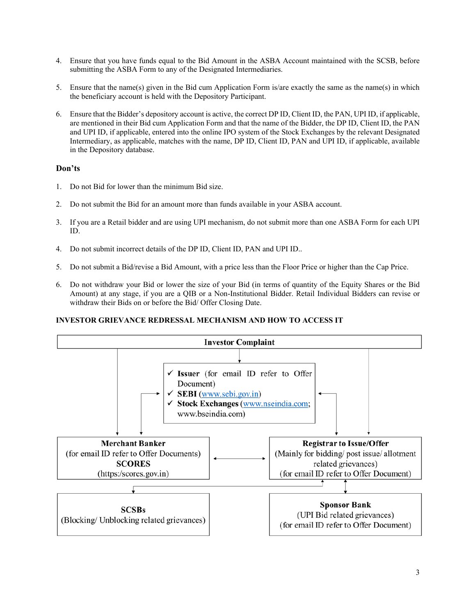- 4. Ensure that you have funds equal to the Bid Amount in the ASBA Account maintained with the SCSB, before submitting the ASBA Form to any of the Designated Intermediaries.
- 5. Ensure that the name(s) given in the Bid cum Application Form is/are exactly the same as the name(s) in which the beneficiary account is held with the Depository Participant.
- 6. Ensure that the Bidder's depository account is active, the correct DP ID, Client ID, the PAN, UPI ID, if applicable, are mentioned in their Bid cum Application Form and that the name of the Bidder, the DP ID, Client ID, the PAN and UPI ID, if applicable, entered into the online IPO system of the Stock Exchanges by the relevant Designated Intermediary, as applicable, matches with the name, DP ID, Client ID, PAN and UPI ID, if applicable, available in the Depository database.

# **Don'ts**

- 1. Do not Bid for lower than the minimum Bid size.
- 2. Do not submit the Bid for an amount more than funds available in your ASBA account.
- 3. If you are a Retail bidder and are using UPI mechanism, do not submit more than one ASBA Form for each UPI ID.
- 4. Do not submit incorrect details of the DP ID, Client ID, PAN and UPI ID..
- 5. Do not submit a Bid/revise a Bid Amount, with a price less than the Floor Price or higher than the Cap Price.
- 6. Do not withdraw your Bid or lower the size of your Bid (in terms of quantity of the Equity Shares or the Bid Amount) at any stage, if you are a QIB or a Non-Institutional Bidder. Retail Individual Bidders can revise or withdraw their Bids on or before the Bid/ Offer Closing Date.

## **INVESTOR GRIEVANCE REDRESSAL MECHANISM AND HOW TO ACCESS IT**

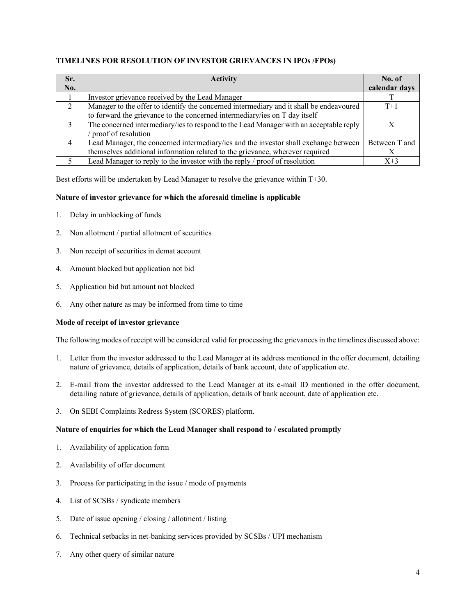# **TIMELINES FOR RESOLUTION OF INVESTOR GRIEVANCES IN IPOs /FPOs)**

| Sr.            | <b>Activity</b>                                                                         | No. of        |
|----------------|-----------------------------------------------------------------------------------------|---------------|
| No.            |                                                                                         | calendar days |
|                | Investor grievance received by the Lead Manager                                         |               |
| $\overline{2}$ | Manager to the offer to identify the concerned intermediary and it shall be endeavoured | $T+1$         |
|                | to forward the grievance to the concerned intermediary/ies on T day itself              |               |
| $\mathcal{E}$  | The concerned intermediary/ies to respond to the Lead Manager with an acceptable reply  |               |
|                | proof of resolution                                                                     |               |
| $\overline{4}$ | Lead Manager, the concerned intermediary/ies and the investor shall exchange between    | Between T and |
|                | themselves additional information related to the grievance, wherever required           |               |
|                | Lead Manager to reply to the investor with the reply / proof of resolution              | $X+3$         |

Best efforts will be undertaken by Lead Manager to resolve the grievance within T+30.

# **Nature of investor grievance for which the aforesaid timeline is applicable**

- 1. Delay in unblocking of funds
- 2. Non allotment / partial allotment of securities
- 3. Non receipt of securities in demat account
- 4. Amount blocked but application not bid
- 5. Application bid but amount not blocked
- 6. Any other nature as may be informed from time to time

## **Mode of receipt of investor grievance**

The following modes of receipt will be considered valid for processing the grievances in the timelines discussed above:

- 1. Letter from the investor addressed to the Lead Manager at its address mentioned in the offer document, detailing nature of grievance, details of application, details of bank account, date of application etc.
- 2. E-mail from the investor addressed to the Lead Manager at its e-mail ID mentioned in the offer document, detailing nature of grievance, details of application, details of bank account, date of application etc.
- 3. On SEBI Complaints Redress System (SCORES) platform.

## **Nature of enquiries for which the Lead Manager shall respond to / escalated promptly**

- 1. Availability of application form
- 2. Availability of offer document
- 3. Process for participating in the issue / mode of payments
- 4. List of SCSBs / syndicate members
- 5. Date of issue opening / closing / allotment / listing
- 6. Technical setbacks in net-banking services provided by SCSBs / UPI mechanism
- 7. Any other query of similar nature